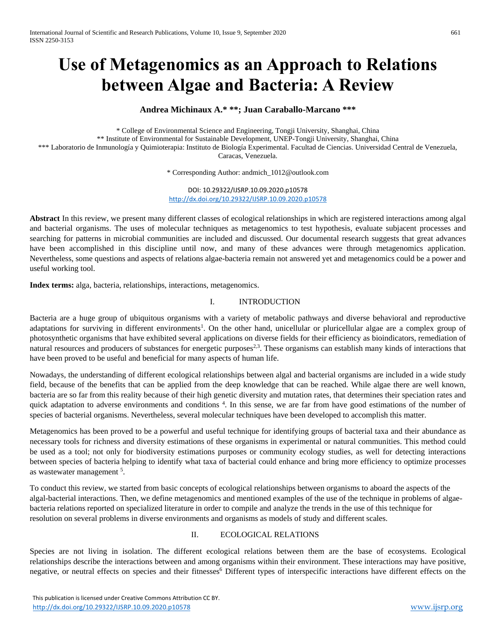# **Use of Metagenomics as an Approach to Relations between Algae and Bacteria: A Review**

# **Andrea Michinaux A.\* \*\*; Juan Caraballo-Marcano \*\*\***

\* College of Environmental Science and Engineering, Tongji University, Shanghai, China \*\* Institute of Environmental for Sustainable Development, UNEP-Tongji University, Shanghai, China \*\*\* Laboratorio de Inmunología y Quimioterapia: Instituto de Biología Experimental. Facultad de Ciencias. Universidad Central de Venezuela, Caracas, Venezuela.

\* Corresponding Author: [andmich\\_1012@outlook.com](mailto:andmich_1012@outlook.com)

DOI: 10.29322/IJSRP.10.09.2020.p10578 <http://dx.doi.org/10.29322/IJSRP.10.09.2020.p10578>

**Abstract** In this review, we present many different classes of ecological relationships in which are registered interactions among algal and bacterial organisms. The uses of molecular techniques as metagenomics to test hypothesis, evaluate subjacent processes and searching for patterns in microbial communities are included and discussed. Our documental research suggests that great advances have been accomplished in this discipline until now, and many of these advances were through metagenomics application. Nevertheless, some questions and aspects of relations algae-bacteria remain not answered yet and metagenomics could be a power and useful working tool.

**Index terms:** alga, bacteria, relationships, interactions, metagenomics.

### I. INTRODUCTION

Bacteria are a huge group of ubiquitous organisms with a variety of metabolic pathways and diverse behavioral and reproductive adaptations for surviving in different environments<sup>1</sup>. On the other hand, unicellular or pluricellular algae are a complex group of photosynthetic organisms that have exhibited several applications on diverse fields for their efficiency as bioindicators, remediation of natural resources and producers of substances for energetic purposes<sup>2,3</sup>. These organisms can establish many kinds of interactions that have been proved to be useful and beneficial for many aspects of human life.

Nowadays, the understanding of different ecological relationships between algal and bacterial organisms are included in a wide study field, because of the benefits that can be applied from the deep knowledge that can be reached. While algae there are well known, bacteria are so far from this reality because of their high genetic diversity and mutation rates, that determines their speciation rates and quick adaptation to adverse environments and conditions<sup>4</sup>. In this sense, we are far from have good estimations of the number of species of bacterial organisms. Nevertheless, several molecular techniques have been developed to accomplish this matter.

Metagenomics has been proved to be a powerful and useful technique for identifying groups of bacterial taxa and their abundance as necessary tools for richness and diversity estimations of these organisms in experimental or natural communities. This method could be used as a tool; not only for biodiversity estimations purposes or community ecology studies, as well for detecting interactions between species of bacteria helping to identify what taxa of bacterial could enhance and bring more efficiency to optimize processes as wastewater management <sup>5</sup>.

To conduct this review, we started from basic concepts of ecological relationships between organisms to aboard the aspects of the algal-bacterial interactions. Then, we define metagenomics and mentioned examples of the use of the technique in problems of algaebacteria relations reported on specialized literature in order to compile and analyze the trends in the use of this technique for resolution on several problems in diverse environments and organisms as models of study and different scales.

## II. ECOLOGICAL RELATIONS

Species are not living in isolation. The different ecological relations between them are the base of ecosystems. Ecological relationships describe the interactions between and among organisms within their environment. These interactions may have positive, negative, or neutral effects on species and their fitnesses<sup>6</sup> Different types of interspecific interactions have different effects on the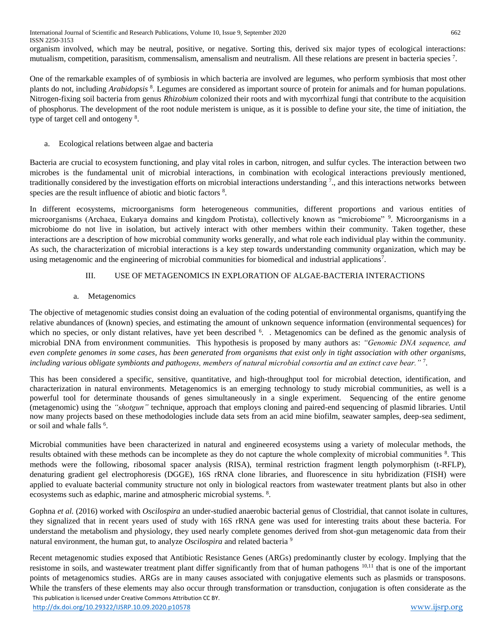organism involved, which may be neutral, positive, or negative. Sorting this, derived six major types of ecological interactions: mutualism, competition, parasitism, commensalism, amensalism and neutralism. All these relations are present in bacteria species<sup>7</sup>.

One of the remarkable examples of of symbiosis in which bacteria are involved are legumes, who perform symbiosis that most other plants do not, including *Arabidopsis* <sup>8</sup> . Legumes are considered as important source of protein for animals and for human populations. Nitrogen-fixing soil bacteria from genus *Rhizobium* colonized their roots and with mycorrhizal fungi that contribute to the acquisition of phosphorus. The development of the root nodule meristem is unique, as it is possible to define your site, the time of initiation, the type of target cell and ontogeny  $8$ .

a. Ecological relations between algae and bacteria

Bacteria are crucial to ecosystem functioning, and play vital roles in carbon, nitrogen, and sulfur cycles. The interaction between two microbes is the fundamental unit of microbial interactions, in combination with ecological interactions previously mentioned, traditionally considered by the investigation efforts on microbial interactions understanding  $\frac{7}{1}$ , and this interactions networks between species are the result influence of abiotic and biotic factors  $8$ .

In different ecosystems, microorganisms form heterogeneous communities, different proportions and various entities of microorganisms (Archaea, Eukarya domains and kingdom Protista), collectively known as "microbiome" <sup>9</sup> . Microorganisms in a microbiome do not live in isolation, but actively interact with other members within their community. Taken together, these interactions are a description of how microbial community works generally, and what role each individual play within the community. As such, the characterization of microbial interactions is a key step towards understanding community organization, which may be using metagenomic and the engineering of microbial communities for biomedical and industrial applications<sup>7</sup>.

# III. USE OF METAGENOMICS IN EXPLORATION OF ALGAE-BACTERIA INTERACTIONS

# a. Metagenomics

The objective of metagenomic studies consist doing an evaluation of the coding potential of environmental organisms, quantifying the relative abundances of (known) species, and estimating the amount of unknown sequence information (environmental sequences) for which no species, or only distant relatives, have yet been described <sup>6</sup>. Metagenomics can be defined as the genomic analysis of microbial DNA from environment communities. This hypothesis is proposed by many authors as: *"Genomic DNA sequence, and even complete genomes in some cases, has been generated from organisms that exist only in tight association with other organisms, including various obligate symbionts and pathogens, members of natural microbial consortia and an extinct cave bear."* <sup>7</sup> .

This has been considered a specific, sensitive, quantitative, and high-throughput tool for microbial detection, identification, and characterization in natural environments. Metagenomics is an emerging technology to study microbial communities, as well is a powerful tool for determinate thousands of genes simultaneously in a single experiment. Sequencing of the entire genome (metagenomic) using the *"shotgun"* technique, approach that employs cloning and paired-end sequencing of plasmid libraries. Until now many projects based on these methodologies include data sets from an acid mine biofilm, seawater samples, deep-sea sediment, or soil and whale falls <sup>6</sup>.

Microbial communities have been characterized in natural and engineered ecosystems using a variety of molecular methods, the results obtained with these methods can be incomplete as they do not capture the whole complexity of microbial communities <sup>8</sup>. This methods were the following, ribosomal spacer analysis (RISA), terminal restriction fragment length polymorphism (t-RFLP), denaturing gradient gel electrophoresis (DGGE), 16S rRNA clone libraries, and fluorescence in situ hybridization (FISH) were applied to evaluate bacterial community structure not only in biological reactors from wastewater treatment plants but also in other ecosystems such as edaphic, marine and atmospheric microbial systems. <sup>8</sup>.

Gophna *et al.* (2016) worked with *Oscilospira* an under-studied anaerobic bacterial genus of Clostridial, that cannot isolate in cultures, they signalized that in recent years used of study with 16S rRNA gene was used for interesting traits about these bacteria. For understand the metabolism and physiology, they used nearly complete genomes derived from shot-gun metagenomic data from their natural environment, the human gut, to analyze *Oscilospira* and related bacteria <sup>9</sup>

 This publication is licensed under Creative Commons Attribution CC BY. Recent metagenomic studies exposed that Antibiotic Resistance Genes (ARGs) predominantly cluster by ecology. Implying that the resistome in soils, and wastewater treatment plant differ significantly from that of human pathogens <sup>10,11</sup> that is one of the important points of metagenomics studies. ARGs are in many causes associated with conjugative elements such as plasmids or transposons. While the transfers of these elements may also occur through transformation or transduction, conjugation is often considerate as the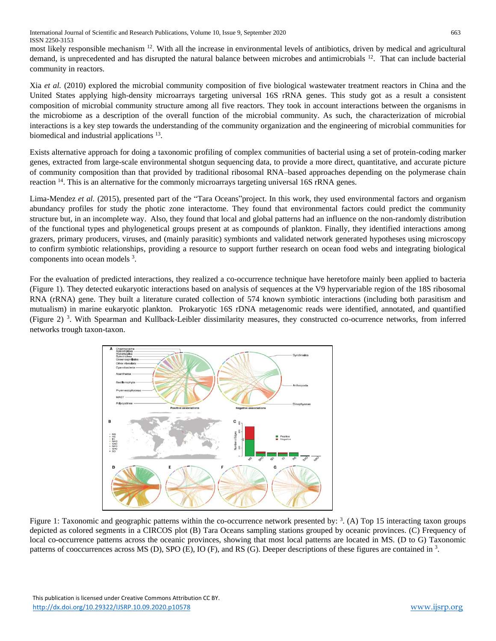most likely responsible mechanism  $12$ . With all the increase in environmental levels of antibiotics, driven by medical and agricultural demand, is unprecedented and has disrupted the natural balance between microbes and antimicrobials <sup>12</sup>. That can include bacterial community in reactors.

Xia *et al.* (2010) explored the microbial community composition of five biological wastewater treatment reactors in China and the United States applying high-density microarrays targeting universal 16S rRNA genes. This study got as a result a consistent composition of microbial community structure among all five reactors. They took in account interactions between the organisms in the microbiome as a description of the overall function of the microbial community. As such, the characterization of microbial interactions is a key step towards the understanding of the community organization and the engineering of microbial communities for biomedical and industrial applications <sup>13</sup>.

Exists alternative approach for doing a taxonomic profiling of complex communities of bacterial using a set of protein-coding marker genes, extracted from large-scale environmental shotgun sequencing data, to provide a more direct, quantitative, and accurate picture of community composition than that provided by traditional ribosomal RNA–based approaches depending on the polymerase chain reaction <sup>14</sup>. This is an alternative for the commonly microarrays targeting universal 16S rRNA genes.

Lima-Mendez *et al.* (2015), presented part of the "Tara Oceans" project. In this work, they used environmental factors and organism abundancy profiles for study the photic zone interactome. They found that environmental factors could predict the community structure but, in an incomplete way. Also, they found that local and global patterns had an influence on the non-randomly distribution of the functional types and phylogenetical groups present at as compounds of plankton. Finally, they identified interactions among grazers, primary producers, viruses, and (mainly parasitic) symbionts and validated network generated hypotheses using microscopy to confirm symbiotic relationships, providing a resource to support further research on ocean food webs and integrating biological components into ocean models <sup>3</sup> .

For the evaluation of predicted interactions, they realized a co-occurrence technique have heretofore mainly been applied to bacteria (Figure 1). They detected eukaryotic interactions based on analysis of sequences at the V9 hypervariable region of the 18S ribosomal RNA (rRNA) gene. They built a literature curated collection of 574 known symbiotic interactions (including both parasitism and mutualism) in marine eukaryotic plankton. Prokaryotic 16S rDNA metagenomic reads were identified, annotated, and quantified (Figure 2) <sup>3</sup> . With Spearman and Kullback-Leibler dissimilarity measures, they constructed co-ocurrence networks, from inferred networks trough taxon-taxon.



Figure 1: Taxonomic and geographic patterns within the co-occurrence network presented by: <sup>3</sup>. (A) Top 15 interacting taxon groups depicted as colored segments in a CIRCOS plot (B) Tara Oceans sampling stations grouped by oceanic provinces. (C) Frequency of local co-occurrence patterns across the oceanic provinces, showing that most local patterns are located in MS. (D to G) Taxonomic patterns of cooccurrences across MS (D), SPO (E), IO (F), and RS (G). Deeper descriptions of these figures are contained in <sup>3</sup>.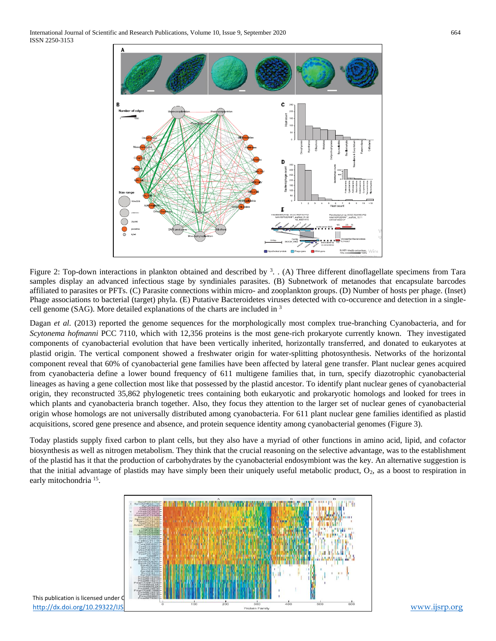

Figure 2: Top-down interactions in plankton obtained and described by  $3$ . (A) Three different dinoflagellate specimens from Tara samples display an advanced infectious stage by syndiniales parasites. (B) Subnetwork of metanodes that encapsulate barcodes affiliated to parasites or PFTs. (C) Parasite connections within micro- and zooplankton groups. (D) Number of hosts per phage. (Inset) Phage associations to bacterial (target) phyla. (E) Putative Bacteroidetes viruses detected with co-occurence and detection in a singlecell genome (SAG). More detailed explanations of the charts are included in  $3$ 

Dagan *et al.* (2013) reported the genome sequences for the morphologically most complex true-branching Cyanobacteria, and for *Scytonema hofmanni* PCC 7110, which with 12,356 proteins is the most gene-rich prokaryote currently known. They investigated components of cyanobacterial evolution that have been vertically inherited, horizontally transferred, and donated to eukaryotes at plastid origin. The vertical component showed a freshwater origin for water-splitting photosynthesis. Networks of the horizontal component reveal that 60% of cyanobacterial gene families have been affected by lateral gene transfer. Plant nuclear genes acquired from cyanobacteria define a lower bound frequency of 611 multigene families that, in turn, specify diazotrophic cyanobacterial lineages as having a gene collection most like that possessed by the plastid ancestor. To identify plant nuclear genes of cyanobacterial origin, they reconstructed 35,862 phylogenetic trees containing both eukaryotic and prokaryotic homologs and looked for trees in which plants and cyanobacteria branch together. Also, they focus they attention to the larger set of nuclear genes of cyanobacterial origin whose homologs are not universally distributed among cyanobacteria. For 611 plant nuclear gene families identified as plastid acquisitions, scored gene presence and absence, and protein sequence identity among cyanobacterial genomes (Figure 3).

Today plastids supply fixed carbon to plant cells, but they also have a myriad of other functions in amino acid, lipid, and cofactor biosynthesis as well as nitrogen metabolism. They think that the crucial reasoning on the selective advantage, was to the establishment of the plastid has it that the production of carbohydrates by the cyanobacterial endosymbiont was the key. An alternative suggestion is that the initial advantage of plastids may have simply been their uniquely useful metabolic product,  $O_2$ , as a boost to respiration in early mitochondria<sup>15</sup>.



This publication is licensed under C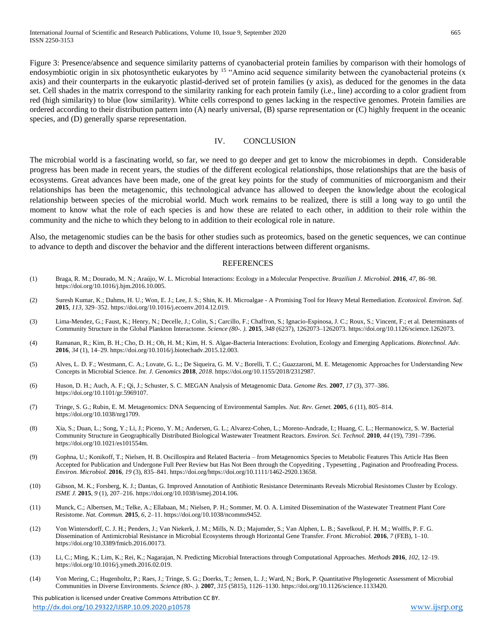Figure 3: Presence/absence and sequence similarity patterns of cyanobacterial protein families by comparison with their homologs of endosymbiotic origin in six photosynthetic eukaryotes by <sup>15</sup> "Amino acid sequence similarity between the cyanobacterial proteins (x axis) and their counterparts in the eukaryotic plastid-derived set of protein families (y axis), as deduced for the genomes in the data set. Cell shades in the matrix correspond to the similarity ranking for each protein family (i.e., line) according to a color gradient from red (high similarity) to blue (low similarity). White cells correspond to genes lacking in the respective genomes. Protein families are ordered according to their distribution pattern into (A) nearly universal, (B) sparse representation or (C) highly frequent in the oceanic species, and (D) generally sparse representation.

#### IV. CONCLUSION

The microbial world is a fascinating world, so far, we need to go deeper and get to know the microbiomes in depth. Considerable progress has been made in recent years, the studies of the different ecological relationships, those relationships that are the basis of ecosystems. Great advances have been made, one of the great key points for the study of communities of microorganism and their relationships has been the metagenomic, this technological advance has allowed to deepen the knowledge about the ecological relationship between species of the microbial world. Much work remains to be realized, there is still a long way to go until the moment to know what the role of each species is and how these are related to each other, in addition to their role within the community and the niche to which they belong to in addition to their ecological role in nature.

Also, the metagenomic studies can be the basis for other studies such as proteomics, based on the genetic sequences, we can continue to advance to depth and discover the behavior and the different interactions between different organisms.

### **REFERENCES**

- (1) Braga, R. M.; Dourado, M. N.; Araújo, W. L. Microbial Interactions: Ecology in a Molecular Perspective. *Brazilian J. Microbiol.* **2016**, *47*, 86–98. https://doi.org/10.1016/j.bjm.2016.10.005.
- (2) Suresh Kumar, K.; Dahms, H. U.; Won, E. J.; Lee, J. S.; Shin, K. H. Microalgae A Promising Tool for Heavy Metal Remediation. *Ecotoxicol. Environ. Saf.* **2015**, *113*, 329–352. https://doi.org/10.1016/j.ecoenv.2014.12.019.
- (3) Lima-Mendez, G.; Faust, K.; Henry, N.; Decelle, J.; Colin, S.; Carcillo, F.; Chaffron, S.; Ignacio-Espinosa, J. C.; Roux, S.; Vincent, F.; et al. Determinants of Community Structure in the Global Plankton Interactome. *Science (80-. ).* **2015**, *348* (6237), 1262073–1262073. https://doi.org/10.1126/science.1262073.
- (4) Ramanan, R.; Kim, B. H.; Cho, D. H.; Oh, H. M.; Kim, H. S. Algae-Bacteria Interactions: Evolution, Ecology and Emerging Applications. *Biotechnol. Adv.* **2016**, *34* (1), 14–29. https://doi.org/10.1016/j.biotechadv.2015.12.003.
- (5) Alves, L. D. F.; Westmann, C. A.; Lovate, G. L.; De Siqueira, G. M. V.; Borelli, T. C.; Guazzaroni, M. E. Metagenomic Approaches for Understanding New Concepts in Microbial Science. *Int. J. Genomics* **2018**, *2018*. https://doi.org/10.1155/2018/2312987.
- (6) Huson, D. H.; Auch, A. F.; Qi, J.; Schuster, S. C. MEGAN Analysis of Metagenomic Data. *Genome Res.* **2007**, *17* (3), 377–386. https://doi.org/10.1101/gr.5969107.
- (7) Tringe, S. G.; Rubin, E. M. Metagenomics: DNA Sequencing of Environmental Samples. *Nat. Rev. Genet.* **2005**, *6* (11), 805–814. https://doi.org/10.1038/nrg1709.
- (8) Xia, S.; Duan, L.; Song, Y.; Li, J.; Piceno, Y. M.; Andersen, G. L.; Alvarez-Cohen, L.; Moreno-Andrade, I.; Huang, C. L.; Hermanowicz, S. W. Bacterial Community Structure in Geographically Distributed Biological Wastewater Treatment Reactors. *Environ. Sci. Technol.* **2010**, *44* (19), 7391–7396. https://doi.org/10.1021/es101554m.
- (9) Gophna, U.; Konikoff, T.; Nielsen, H. B. Oscillospira and Related Bacteria from Metagenomics Species to Metabolic Features This Article Has Been Accepted for Publication and Undergone Full Peer Review but Has Not Been through the Copyediting , Typesetting , Pagination and Proofreading Process. *Environ. Microbiol.* **2016**, *19* (3), 835–841. https://doi.org/https://doi.org/10.1111/1462-2920.13658.
- (10) Gibson, M. K.; Forsberg, K. J.; Dantas, G. Improved Annotation of Antibiotic Resistance Determinants Reveals Microbial Resistomes Cluster by Ecology. *ISME J.* **2015**, *9* (1), 207–216. https://doi.org/10.1038/ismej.2014.106.
- (11) Munck, C.; Albertsen, M.; Telke, A.; Ellabaan, M.; Nielsen, P. H.; Sommer, M. O. A. Limited Dissemination of the Wastewater Treatment Plant Core Resistome. *Nat. Commun.* **2015**, *6*, 2–11. https://doi.org/10.1038/ncomms9452.
- (12) Von Wintersdorff, C. J. H.; Penders, J.; Van Niekerk, J. M.; Mills, N. D.; Majumder, S.; Van Alphen, L. B.; Savelkoul, P. H. M.; Wolffs, P. F. G. Dissemination of Antimicrobial Resistance in Microbial Ecosystems through Horizontal Gene Transfer. *Front. Microbiol.* **2016**, *7* (FEB), 1–10. https://doi.org/10.3389/fmicb.2016.00173.
- (13) Li, C.; Ming, K.; Lim, K.; Rei, K.; Nagarajan, N. Predicting Microbial Interactions through Computational Approaches. *Methods* **2016**, *102*, 12–19. https://doi.org/10.1016/j.ymeth.2016.02.019.
- (14) Von Mering, C.; Hugenholtz, P.; Raes, J.; Tringe, S. G.; Doerks, T.; Jensen, L. J.; Ward, N.; Bork, P. Quantitative Phylogenetic Assessment of Microbial Communities in Diverse Environments. *Science (80-. ).* **2007**, *315* (5815), 1126–1130. https://doi.org/10.1126/science.1133420.

 This publication is licensed under Creative Commons Attribution CC BY. <http://dx.doi.org/10.29322/IJSRP.10.09.2020.p10578> [www.ijsrp.org](http://ijsrp.org/)